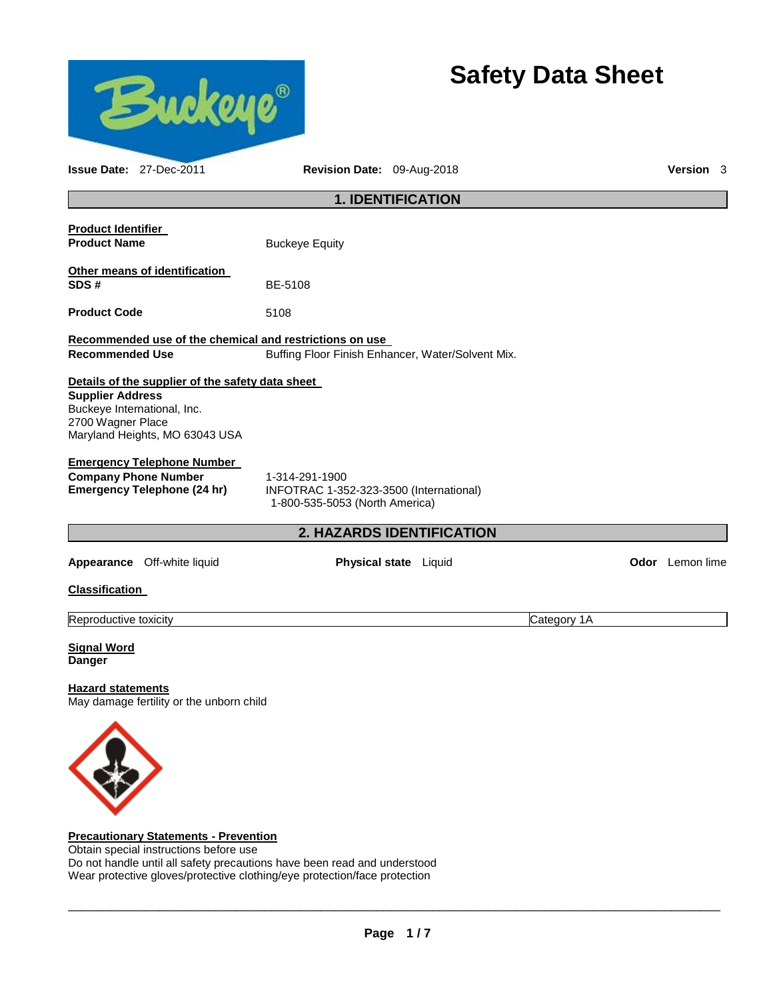

## **Precautionary Statements - Prevention**

Obtain special instructions before use Do not handle until all safety precautions have been read and understood Wear protective gloves/protective clothing/eye protection/face protection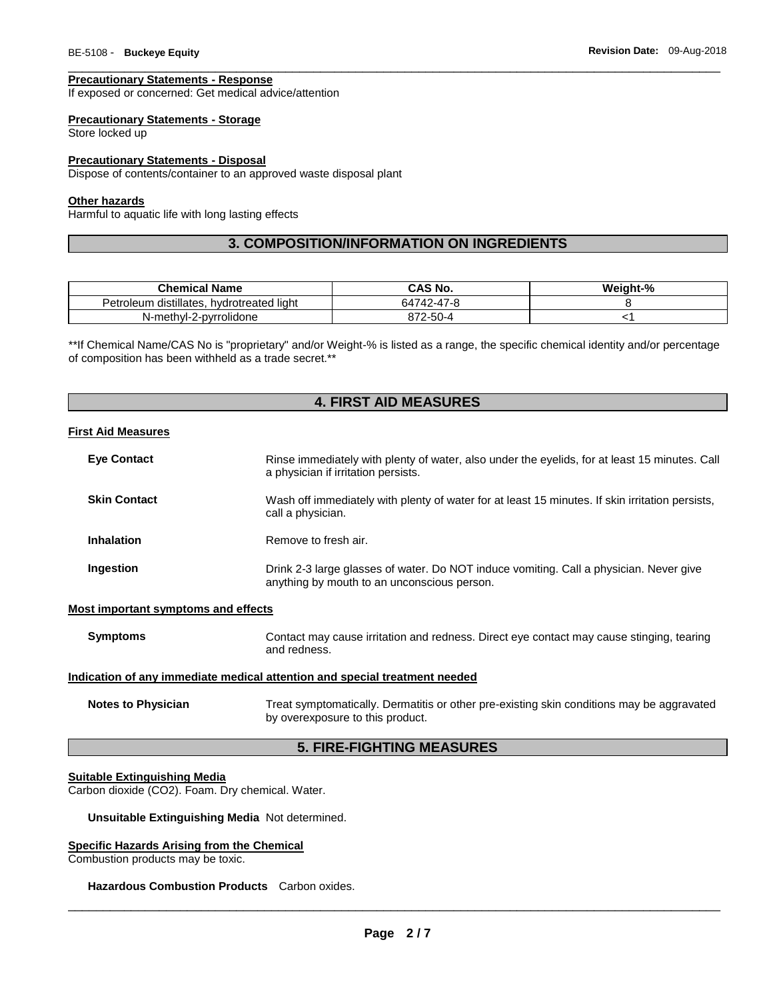## **Precautionary Statements - Response**

If exposed or concerned: Get medical advice/attention

#### **Precautionary Statements - Storage**

Store locked up

#### **Precautionary Statements - Disposal**

Dispose of contents/container to an approved waste disposal plant

## **Other hazards**

Harmful to aquatic life with long lasting effects

# **3. COMPOSITION/INFORMATION ON INGREDIENTS**

\_\_\_\_\_\_\_\_\_\_\_\_\_\_\_\_\_\_\_\_\_\_\_\_\_\_\_\_\_\_\_\_\_\_\_\_\_\_\_\_\_\_\_\_\_\_\_\_\_\_\_\_\_\_\_\_\_\_\_\_\_\_\_\_\_\_\_\_\_\_\_\_\_\_\_\_\_\_\_\_\_\_\_\_\_\_\_\_\_\_\_\_\_

| <b>Chemical Name</b>                      | CAS No.    | Weight-% |
|-------------------------------------------|------------|----------|
| Petroleum distillates, hydrotreated light | 64742-47-8 |          |
| N-methyl-2-pyrrolidone                    | 872-50-4   |          |

\*\*If Chemical Name/CAS No is "proprietary" and/or Weight-% is listed as a range, the specific chemical identity and/or percentage of composition has been withheld as a trade secret.\*\*

## **4. FIRST AID MEASURES**

## **First Aid Measures**

| <b>Eye Contact</b>  | Rinse immediately with plenty of water, also under the eyelids, for at least 15 minutes. Call<br>a physician if irritation persists.  |
|---------------------|---------------------------------------------------------------------------------------------------------------------------------------|
| <b>Skin Contact</b> | Wash off immediately with plenty of water for at least 15 minutes. If skin irritation persists,<br>call a physician.                  |
| <b>Inhalation</b>   | Remove to fresh air.                                                                                                                  |
| Ingestion           | Drink 2-3 large glasses of water. Do NOT induce vomiting. Call a physician. Never give<br>anything by mouth to an unconscious person. |

#### **Most important symptoms and effects**

**Symptoms Contact may cause irritation and redness. Direct eye contact may cause stinging, tearing** and redness.

#### **Indication of any immediate medical attention and special treatment needed**

| <b>Notes to Physician</b> | Treat symptomatically. Dermatitis or other pre-existing skin conditions may be aggravated |
|---------------------------|-------------------------------------------------------------------------------------------|
|                           | by overexposure to this product.                                                          |

## **5. FIRE-FIGHTING MEASURES**

## **Suitable Extinguishing Media**

Carbon dioxide (CO2). Foam. Dry chemical. Water.

**Unsuitable Extinguishing Media** Not determined.

## **Specific Hazards Arising from the Chemical**

Combustion products may be toxic.

#### **Hazardous Combustion Products** Carbon oxides.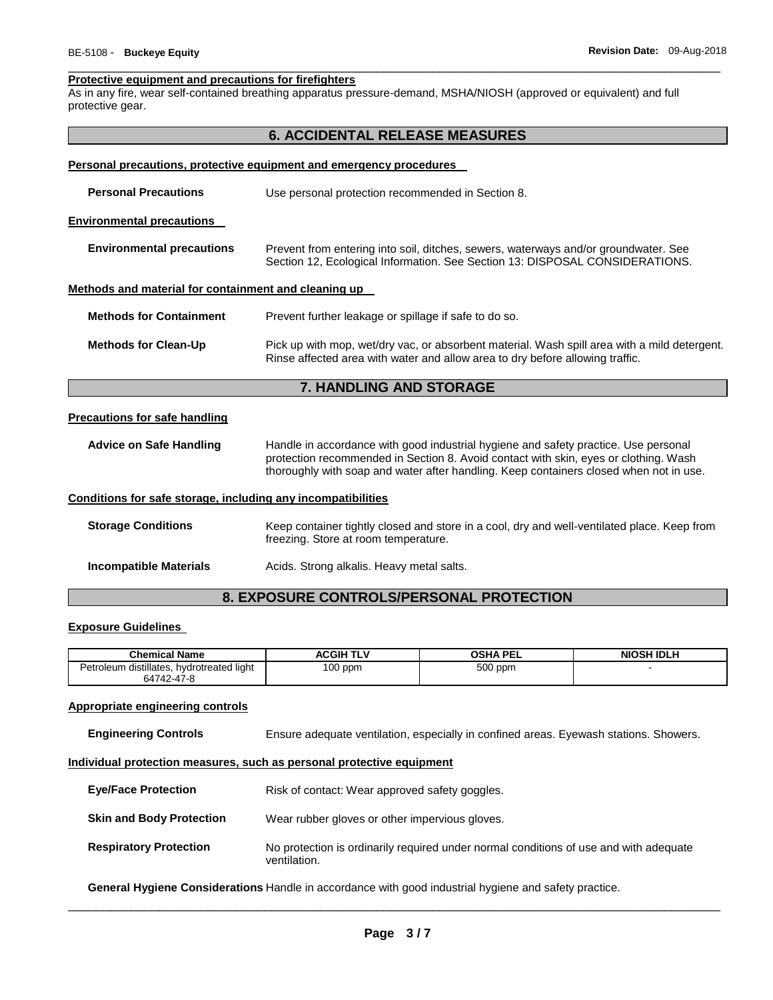#### **Protective equipment and precautions for firefighters**

As in any fire, wear self-contained breathing apparatus pressure-demand, MSHA/NIOSH (approved or equivalent) and full protective gear.

\_\_\_\_\_\_\_\_\_\_\_\_\_\_\_\_\_\_\_\_\_\_\_\_\_\_\_\_\_\_\_\_\_\_\_\_\_\_\_\_\_\_\_\_\_\_\_\_\_\_\_\_\_\_\_\_\_\_\_\_\_\_\_\_\_\_\_\_\_\_\_\_\_\_\_\_\_\_\_\_\_\_\_\_\_\_\_\_\_\_\_\_\_

| <b>6. ACCIDENTAL RELEASE MEASURES</b>                               |                                                                                                                                                                                                                                                                       |  |  |  |
|---------------------------------------------------------------------|-----------------------------------------------------------------------------------------------------------------------------------------------------------------------------------------------------------------------------------------------------------------------|--|--|--|
| Personal precautions, protective equipment and emergency procedures |                                                                                                                                                                                                                                                                       |  |  |  |
| <b>Personal Precautions</b>                                         | Use personal protection recommended in Section 8.                                                                                                                                                                                                                     |  |  |  |
| <b>Environmental precautions</b>                                    |                                                                                                                                                                                                                                                                       |  |  |  |
| <b>Environmental precautions</b>                                    | Prevent from entering into soil, ditches, sewers, waterways and/or groundwater. See<br>Section 12, Ecological Information. See Section 13: DISPOSAL CONSIDERATIONS.                                                                                                   |  |  |  |
| Methods and material for containment and cleaning up                |                                                                                                                                                                                                                                                                       |  |  |  |
| <b>Methods for Containment</b>                                      | Prevent further leakage or spillage if safe to do so.                                                                                                                                                                                                                 |  |  |  |
| <b>Methods for Clean-Up</b>                                         | Pick up with mop, wet/dry vac, or absorbent material. Wash spill area with a mild detergent.<br>Rinse affected area with water and allow area to dry before allowing traffic.                                                                                         |  |  |  |
|                                                                     | 7. HANDLING AND STORAGE                                                                                                                                                                                                                                               |  |  |  |
| <b>Precautions for safe handling</b>                                |                                                                                                                                                                                                                                                                       |  |  |  |
| <b>Advice on Safe Handling</b>                                      | Handle in accordance with good industrial hygiene and safety practice. Use personal<br>protection recommended in Section 8. Avoid contact with skin, eyes or clothing. Wash<br>thoroughly with soap and water after handling. Keep containers closed when not in use. |  |  |  |
| Conditions for safe storage, including any incompatibilities        |                                                                                                                                                                                                                                                                       |  |  |  |
| <b>Storage Conditions</b>                                           | Keep container tightly closed and store in a cool, dry and well-ventilated place. Keep from<br>freezing. Store at room temperature.                                                                                                                                   |  |  |  |
| <b>Incompatible Materials</b>                                       | Acids. Strong alkalis. Heavy metal salts.                                                                                                                                                                                                                             |  |  |  |

## **8. EXPOSURE CONTROLS/PERSONAL PROTECTION**

## **Exposure Guidelines**

| <b>Chemical Name</b>                                                     | ACGIH TLV | <b>OSHA PEL</b> | <b>NIOSH IDLH</b> |
|--------------------------------------------------------------------------|-----------|-----------------|-------------------|
| $\cdots$<br>Petroleum distillates,<br>. hvdrotreated light<br>64742-47-8 | $100$ ppm | 500 ppm         |                   |

## **Appropriate engineering controls**

**Engineering Controls** Ensure adequate ventilation, especially in confined areas. Eyewash stations. Showers.

#### **Individual protection measures, such as personal protective equipment**

| <b>Eye/Face Protection</b>      | Risk of contact: Wear approved safety goggles.                                                        |  |
|---------------------------------|-------------------------------------------------------------------------------------------------------|--|
| <b>Skin and Body Protection</b> | Wear rubber gloves or other impervious gloves.                                                        |  |
| <b>Respiratory Protection</b>   | No protection is ordinarily required under normal conditions of use and with adequate<br>ventilation. |  |

**General Hygiene Considerations** Handle in accordance with good industrial hygiene and safety practice.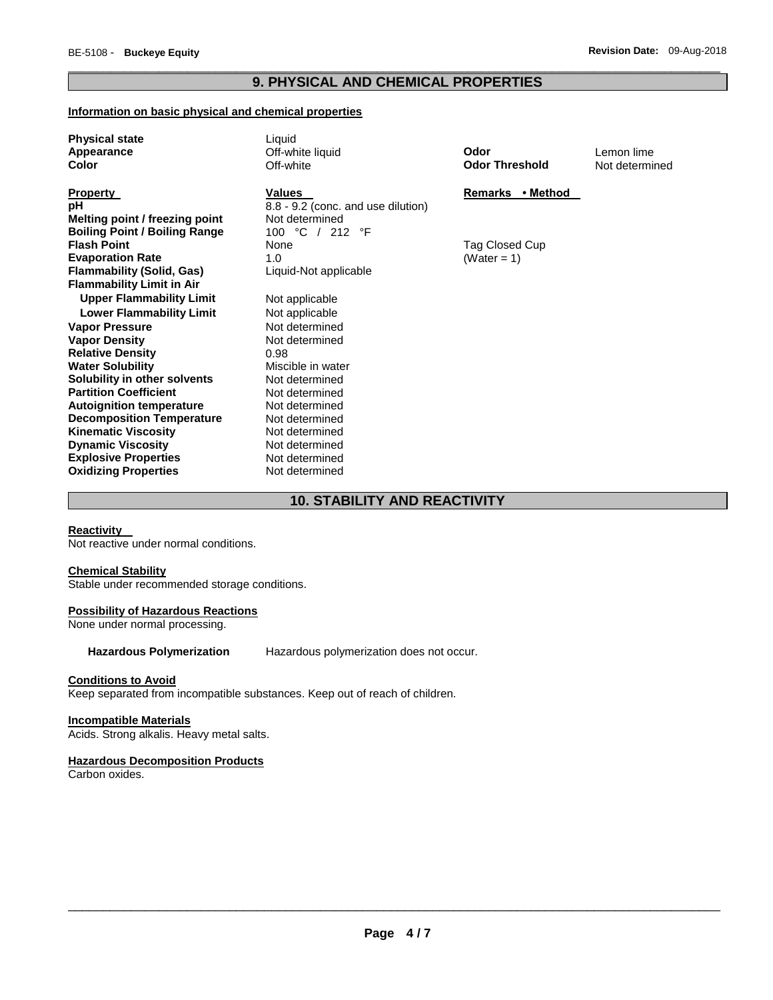## \_\_\_\_\_\_\_\_\_\_\_\_\_\_\_\_\_\_\_\_\_\_\_\_\_\_\_\_\_\_\_\_\_\_\_\_\_\_\_\_\_\_\_\_\_\_\_\_\_\_\_\_\_\_\_\_\_\_\_\_\_\_\_\_\_\_\_\_\_\_\_\_\_\_\_\_\_\_\_\_\_\_\_\_\_\_\_\_\_\_\_\_\_ **9. PHYSICAL AND CHEMICAL PROPERTIES**

## **Information on basic physical and chemical properties**

| <b>Physical state</b><br>Appearance<br>Color                                                                                                                                                                                 | Liquid<br>Off-white liquid<br>Off-white                                                                                    | Odor<br><b>Odor Threshold</b> | Lemon lime<br>Not determined |
|------------------------------------------------------------------------------------------------------------------------------------------------------------------------------------------------------------------------------|----------------------------------------------------------------------------------------------------------------------------|-------------------------------|------------------------------|
| <b>Property</b><br>рH<br>Melting point / freezing point<br><b>Boiling Point / Boiling Range</b>                                                                                                                              | <b>Values</b><br>8.8 - 9.2 (conc. and use dilution)<br>Not determined<br>100 °C / 212 °F                                   | Remarks • Method              |                              |
| <b>Flash Point</b><br><b>Evaporation Rate</b><br><b>Flammability (Solid, Gas)</b><br><b>Flammability Limit in Air</b>                                                                                                        | None<br>1.0<br>Liquid-Not applicable                                                                                       | Tag Closed Cup<br>(Water = 1) |                              |
| <b>Upper Flammability Limit</b><br><b>Lower Flammability Limit</b><br><b>Vapor Pressure</b>                                                                                                                                  | Not applicable<br>Not applicable<br>Not determined                                                                         |                               |                              |
| <b>Vapor Density</b><br><b>Relative Density</b><br><b>Water Solubility</b>                                                                                                                                                   | Not determined<br>0.98<br>Miscible in water                                                                                |                               |                              |
| Solubility in other solvents<br><b>Partition Coefficient</b><br><b>Autoignition temperature</b><br><b>Decomposition Temperature</b><br><b>Kinematic Viscosity</b><br><b>Dynamic Viscosity</b><br><b>Explosive Properties</b> | Not determined<br>Not determined<br>Not determined<br>Not determined<br>Not determined<br>Not determined<br>Not determined |                               |                              |
| <b>Oxidizing Properties</b>                                                                                                                                                                                                  | Not determined                                                                                                             |                               |                              |

# **10. STABILITY AND REACTIVITY**

## **Reactivity**

Not reactive under normal conditions.

## **Chemical Stability**

Stable under recommended storage conditions.

## **Possibility of Hazardous Reactions**

None under normal processing.

**Hazardous Polymerization** Hazardous polymerization does not occur.

## **Conditions to Avoid**

Keep separated from incompatible substances. Keep out of reach of children.

## **Incompatible Materials**

Acids. Strong alkalis. Heavy metal salts.

## **Hazardous Decomposition Products**

Carbon oxides.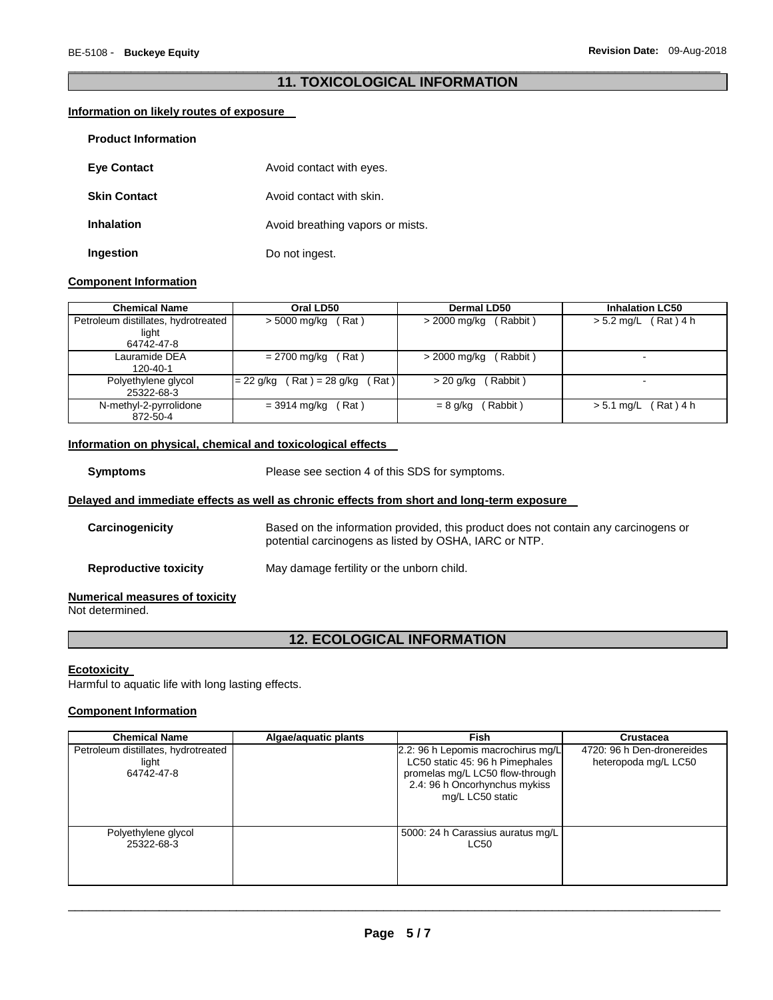## \_\_\_\_\_\_\_\_\_\_\_\_\_\_\_\_\_\_\_\_\_\_\_\_\_\_\_\_\_\_\_\_\_\_\_\_\_\_\_\_\_\_\_\_\_\_\_\_\_\_\_\_\_\_\_\_\_\_\_\_\_\_\_\_\_\_\_\_\_\_\_\_\_\_\_\_\_\_\_\_\_\_\_\_\_\_\_\_\_\_\_\_\_ **11. TOXICOLOGICAL INFORMATION**

## **Information on likely routes of exposure**

| <b>Product Information</b> |                                  |
|----------------------------|----------------------------------|
| <b>Eve Contact</b>         | Avoid contact with eyes.         |
| <b>Skin Contact</b>        | Avoid contact with skin.         |
| <b>Inhalation</b>          | Avoid breathing vapors or mists. |
| Ingestion                  | Do not ingest.                   |

## **Component Information**

| <b>Chemical Name</b>                | Oral LD50                           | Dermal LD50              | <b>Inhalation LC50</b>      |
|-------------------------------------|-------------------------------------|--------------------------|-----------------------------|
| Petroleum distillates, hydrotreated | Rat)<br>> 5000 mg/kg                | (Rabbit)<br>> 2000 mg/kg | $(Rat)$ 4 h<br>$> 5.2$ mg/L |
| light                               |                                     |                          |                             |
| 64742-47-8                          |                                     |                          |                             |
| Lauramide DEA                       | Rat)<br>= 2700 mg/kg                | (Rabbit)<br>> 2000 mg/kg | $\overline{\phantom{a}}$    |
| 120-40-1                            |                                     |                          |                             |
| Polyethylene glycol                 | Rat)<br>$= 22$ g/kg (Rat) = 28 g/kg | (Rabbit)<br>> 20 g/kg    |                             |
| 25322-68-3                          |                                     |                          |                             |
| N-methyl-2-pyrrolidone              | Rat)<br>$= 3914$ mg/kg              | Rabbit)<br>$= 8$ g/kg    | (Rat)4 h<br>$> 5.1$ mg/L    |
| 872-50-4                            |                                     |                          |                             |

## **Information on physical, chemical and toxicological effects**

## **Delayed and immediate effects as well as chronic effects from short and long-term exposure**

| Carcinogenicity                       | Based on the information provided, this product does not contain any carcinogens or<br>potential carcinogens as listed by OSHA, IARC or NTP. |
|---------------------------------------|----------------------------------------------------------------------------------------------------------------------------------------------|
| <b>Reproductive toxicity</b>          | May damage fertility or the unborn child.                                                                                                    |
| <b>Numerical measures of toxicity</b> |                                                                                                                                              |

Not determined.

# **12. ECOLOGICAL INFORMATION**

## **Ecotoxicity**

Harmful to aquatic life with long lasting effects.

## **Component Information**

| <b>Chemical Name</b>                                       | Algae/aquatic plants | Fish                                                                                                                                                          | Crustacea                                          |
|------------------------------------------------------------|----------------------|---------------------------------------------------------------------------------------------------------------------------------------------------------------|----------------------------------------------------|
| Petroleum distillates, hydrotreated<br>light<br>64742-47-8 |                      | 2.2: 96 h Lepomis macrochirus mg/L<br>LC50 static 45: 96 h Pimephales<br>promelas mg/L LC50 flow-through<br>2.4: 96 h Oncorhynchus mykiss<br>mg/L LC50 static | 4720: 96 h Den-dronereides<br>heteropoda mg/L LC50 |
| Polyethylene glycol<br>25322-68-3                          |                      | 5000: 24 h Carassius auratus mg/L<br>LC50                                                                                                                     |                                                    |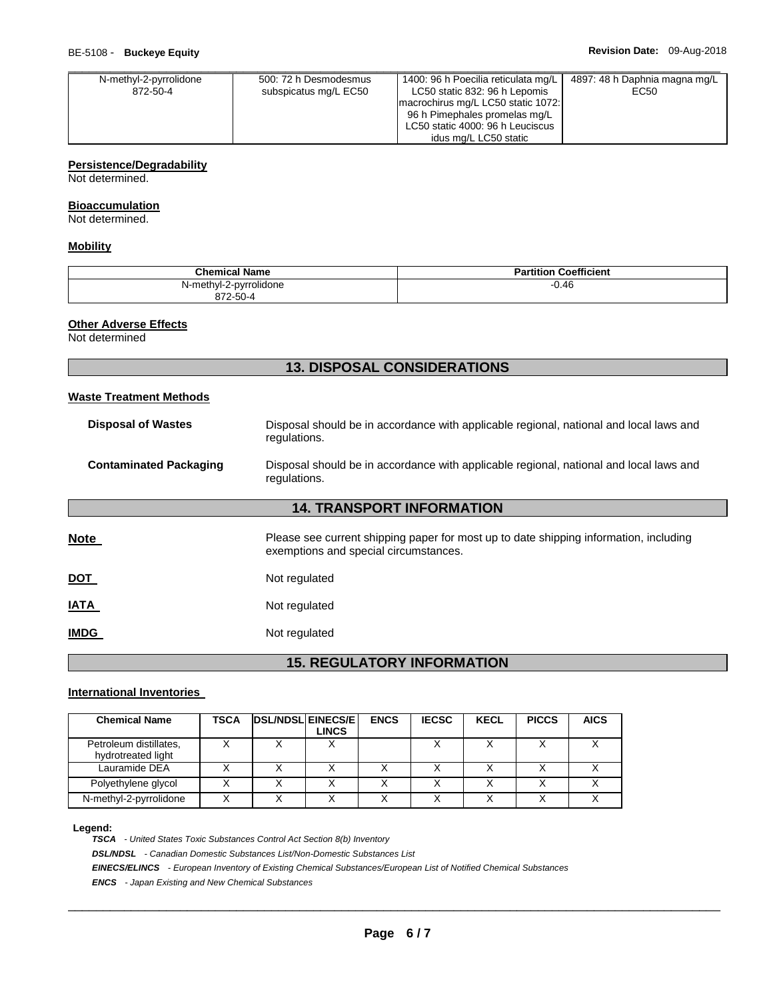| N-methyl-2-pyrrolidone | 500: 72 h Desmodesmus | 1400: 96 h Poecilia reticulata mg/L | 4897: 48 h Daphnia magna mg/L |
|------------------------|-----------------------|-------------------------------------|-------------------------------|
| 872-50-4               | subspicatus mg/L EC50 | LC50 static 832: 96 h Lepomis       | EC50                          |
|                        |                       | macrochirus mg/L LC50 static 1072:  |                               |
|                        |                       | 96 h Pimephales promelas mg/L       |                               |
|                        |                       | LC50 static 4000: 96 h Leuciscus    |                               |
|                        |                       | idus mg/L LC50 static               |                               |

## **Persistence/Degradability**

Not determined.

## **Bioaccumulation**

Not determined.

## **Mobility**

| <b>Chemical Name</b>               | <b>Partition Coefficient</b> |
|------------------------------------|------------------------------|
| N-methyl-2-pyrrolidone<br>872-50-4 | 0.46                         |

**13. DISPOSAL CONSIDERATIONS** 

## **Other Adverse Effects**

Not determined

| <b>Waste Treatment Methods</b> |                                                                                                                                |  |  |
|--------------------------------|--------------------------------------------------------------------------------------------------------------------------------|--|--|
| <b>Disposal of Wastes</b>      | Disposal should be in accordance with applicable regional, national and local laws and<br>regulations.                         |  |  |
| <b>Contaminated Packaging</b>  | Disposal should be in accordance with applicable regional, national and local laws and<br>regulations.                         |  |  |
|                                | <b>14. TRANSPORT INFORMATION</b>                                                                                               |  |  |
| Note                           | Please see current shipping paper for most up to date shipping information, including<br>exemptions and special circumstances. |  |  |
| <u>DOT</u>                     | Not regulated                                                                                                                  |  |  |
| IATA                           | Not regulated                                                                                                                  |  |  |
| <b>IMDG</b>                    | Not regulated                                                                                                                  |  |  |
|                                |                                                                                                                                |  |  |

# **15. REGULATORY INFORMATION**

## **International Inventories**

| <b>Chemical Name</b>                         | TSCA | <b>DSL/NDSLIEINECS/EI</b> | <b>LINCS</b> | <b>ENCS</b>  | <b>IECSC</b> | <b>KECL</b> | <b>PICCS</b> | <b>AICS</b> |
|----------------------------------------------|------|---------------------------|--------------|--------------|--------------|-------------|--------------|-------------|
| Petroleum distillates,<br>hydrotreated light |      |                           |              |              |              |             | v            |             |
| Lauramide DEA                                |      |                           |              |              |              |             |              |             |
| Polyethylene glycol                          |      |                           |              |              |              |             |              |             |
| N-methyl-2-pyrrolidone                       |      |                           | $\checkmark$ | $\checkmark$ |              |             | $\checkmark$ |             |

#### **Legend:**

*TSCA - United States Toxic Substances Control Act Section 8(b) Inventory DSL/NDSL - Canadian Domestic Substances List/Non-Domestic Substances List EINECS/ELINCS - European Inventory of Existing Chemical Substances/European List of Notified Chemical Substances ENCS - Japan Existing and New Chemical Substances*